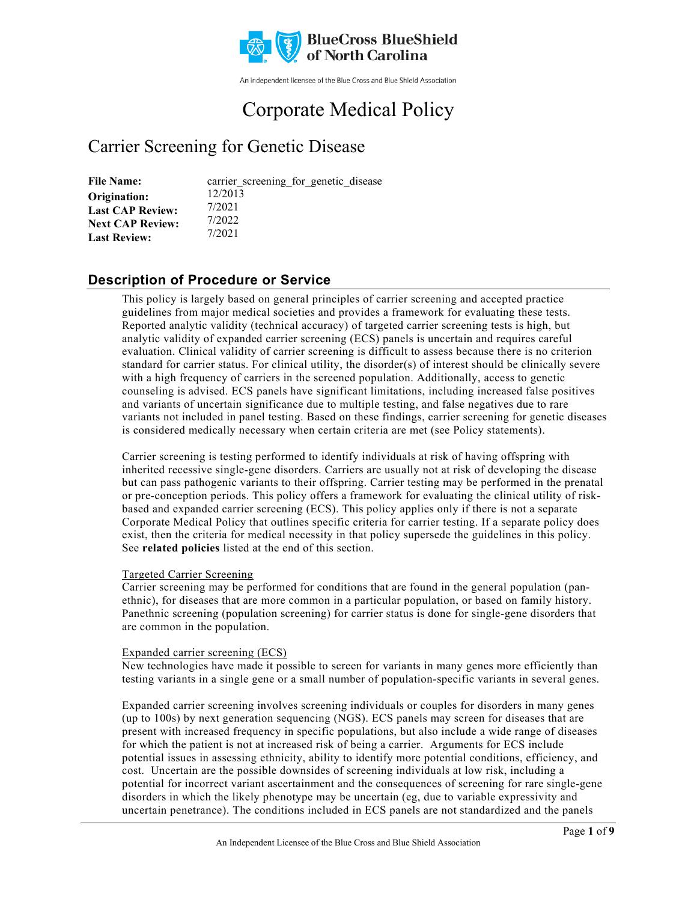

An independent licensee of the Blue Cross and Blue Shield Association

# Corporate Medical Policy

## Carrier Screening for Genetic Disease

File Name: carrier screening for genetic disease 12/2013 7/2021 7/2022 7/2021 **Origination: Last CAP Review: Next CAP Review: Last Review:**

### **Description of Procedure or Service**

This policy is largely based on general principles of carrier screening and accepted practice guidelines from major medical societies and provides a framework for evaluating these tests. Reported analytic validity (technical accuracy) of targeted carrier screening tests is high, but analytic validity of expanded carrier screening (ECS) panels is uncertain and requires careful evaluation. Clinical validity of carrier screening is difficult to assess because there is no criterion standard for carrier status. For clinical utility, the disorder(s) of interest should be clinically severe with a high frequency of carriers in the screened population. Additionally, access to genetic counseling is advised. ECS panels have significant limitations, including increased false positives and variants of uncertain significance due to multiple testing, and false negatives due to rare variants not included in panel testing. Based on these findings, carrier screening for genetic diseases is considered medically necessary when certain criteria are met (see Policy statements).

Carrier screening is testing performed to identify individuals at risk of having offspring with inherited recessive single-gene disorders. Carriers are usually not at risk of developing the disease but can pass pathogenic variants to their offspring. Carrier testing may be performed in the prenatal or pre-conception periods. This policy offers a framework for evaluating the clinical utility of riskbased and expanded carrier screening (ECS). This policy applies only if there is not a separate Corporate Medical Policy that outlines specific criteria for carrier testing. If a separate policy does exist, then the criteria for medical necessity in that policy supersede the guidelines in this policy. See **related policies** listed at the end of this section.

#### Targeted Carrier Screening

Carrier screening may be performed for conditions that are found in the general population (panethnic), for diseases that are more common in a particular population, or based on family history. Panethnic screening (population screening) for carrier status is done for single-gene disorders that are common in the population.

#### Expanded carrier screening (ECS)

New technologies have made it possible to screen for variants in many genes more efficiently than testing variants in a single gene or a small number of population-specific variants in several genes.

Expanded carrier screening involves screening individuals or couples for disorders in many genes (up to 100s) by next generation sequencing (NGS). ECS panels may screen for diseases that are present with increased frequency in specific populations, but also include a wide range of diseases for which the patient is not at increased risk of being a carrier. Arguments for ECS include potential issues in assessing ethnicity, ability to identify more potential conditions, efficiency, and cost. Uncertain are the possible downsides of screening individuals at low risk, including a potential for incorrect variant ascertainment and the consequences of screening for rare single-gene disorders in which the likely phenotype may be uncertain (eg, due to variable expressivity and uncertain penetrance). The conditions included in ECS panels are not standardized and the panels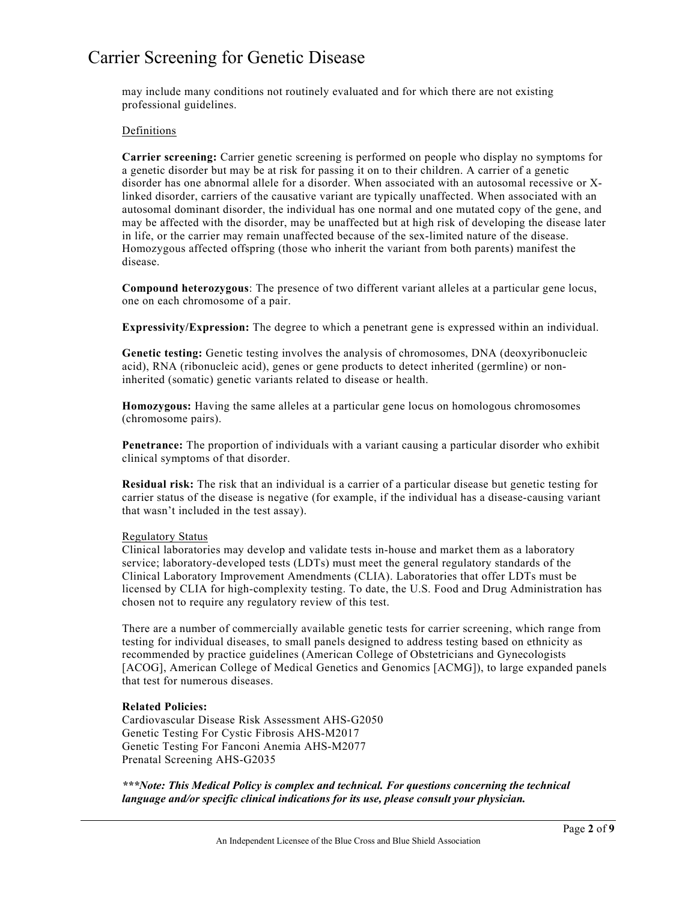may include many conditions not routinely evaluated and for which there are not existing professional guidelines.

#### **Definitions**

**Carrier screening:** Carrier genetic screening is performed on people who display no symptoms for a genetic disorder but may be at risk for passing it on to their children. A carrier of a genetic disorder has one abnormal allele for a disorder. When associated with an autosomal recessive or Xlinked disorder, carriers of the causative variant are typically unaffected. When associated with an autosomal dominant disorder, the individual has one normal and one mutated copy of the gene, and may be affected with the disorder, may be unaffected but at high risk of developing the disease later in life, or the carrier may remain unaffected because of the sex-limited nature of the disease. Homozygous affected offspring (those who inherit the variant from both parents) manifest the disease.

**Compound heterozygous**: The presence of two different variant alleles at a particular gene locus, one on each chromosome of a pair.

**Expressivity/Expression:** The degree to which a penetrant gene is expressed within an individual.

**Genetic testing:** Genetic testing involves the analysis of chromosomes, DNA (deoxyribonucleic acid), RNA (ribonucleic acid), genes or gene products to detect inherited (germline) or noninherited (somatic) genetic variants related to disease or health.

**Homozygous:** Having the same alleles at a particular gene locus on homologous chromosomes (chromosome pairs).

**Penetrance:** The proportion of individuals with a variant causing a particular disorder who exhibit clinical symptoms of that disorder.

**Residual risk:** The risk that an individual is a carrier of a particular disease but genetic testing for carrier status of the disease is negative (for example, if the individual has a disease-causing variant that wasn't included in the test assay).

#### Regulatory Status

Clinical laboratories may develop and validate tests in-house and market them as a laboratory service; laboratory-developed tests (LDTs) must meet the general regulatory standards of the Clinical Laboratory Improvement Amendments (CLIA). Laboratories that offer LDTs must be licensed by CLIA for high-complexity testing. To date, the U.S. Food and Drug Administration has chosen not to require any regulatory review of this test.

There are a number of commercially available genetic tests for carrier screening, which range from testing for individual diseases, to small panels designed to address testing based on ethnicity as recommended by practice guidelines (American College of Obstetricians and Gynecologists [ACOG], American College of Medical Genetics and Genomics [ACMG]), to large expanded panels that test for numerous diseases.

#### **Related Policies:**

Cardiovascular Disease Risk Assessment AHS-G2050 Genetic Testing For Cystic Fibrosis AHS-M2017 Genetic Testing For Fanconi Anemia AHS-M2077 Prenatal Screening AHS-G2035

*\*\*\*Note: This Medical Policy is complex and technical. For questions concerning the technical language and/or specific clinical indications for its use, please consult your physician.*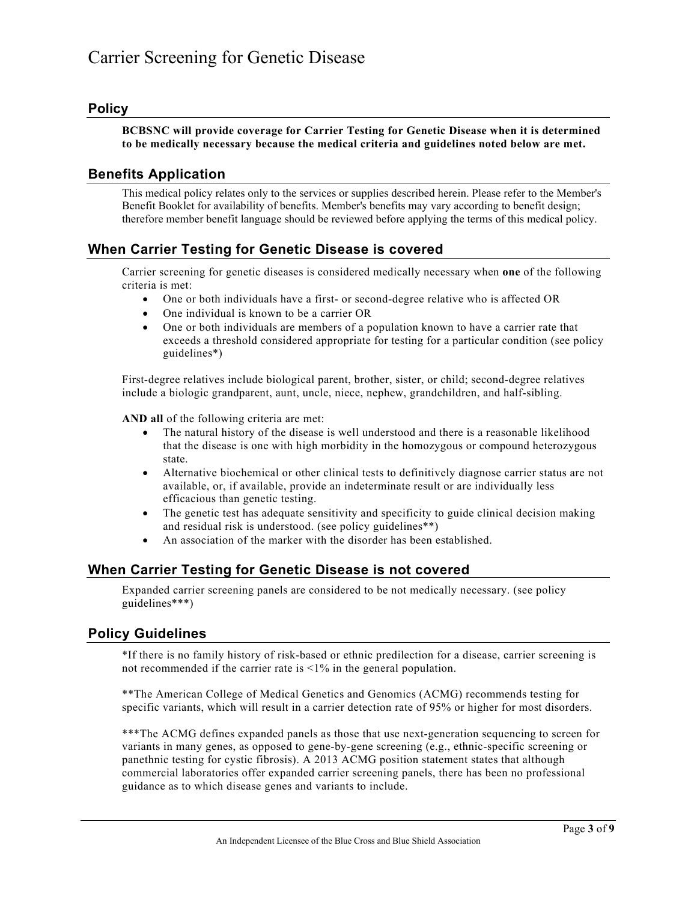### **Policy**

**BCBSNC will provide coverage for Carrier Testing for Genetic Disease when it is determined to be medically necessary because the medical criteria and guidelines noted below are met.**

### **Benefits Application**

This medical policy relates only to the services or supplies described herein. Please refer to the Member's Benefit Booklet for availability of benefits. Member's benefits may vary according to benefit design; therefore member benefit language should be reviewed before applying the terms of this medical policy.

### **When Carrier Testing for Genetic Disease is covered**

Carrier screening for genetic diseases is considered medically necessary when **one** of the following criteria is met:

- One or both individuals have a first- or second-degree relative who is affected OR
- One individual is known to be a carrier OR
- One or both individuals are members of a population known to have a carrier rate that exceeds a threshold considered appropriate for testing for a particular condition (see policy guidelines\*)

First-degree relatives include biological parent, brother, sister, or child; second-degree relatives include a biologic grandparent, aunt, uncle, niece, nephew, grandchildren, and half-sibling.

**AND all** of the following criteria are met:

- The natural history of the disease is well understood and there is a reasonable likelihood that the disease is one with high morbidity in the homozygous or compound heterozygous state.
- Alternative biochemical or other clinical tests to definitively diagnose carrier status are not available, or, if available, provide an indeterminate result or are individually less efficacious than genetic testing.
- The genetic test has adequate sensitivity and specificity to guide clinical decision making and residual risk is understood. (see policy guidelines\*\*)
- An association of the marker with the disorder has been established.

### **When Carrier Testing for Genetic Disease is not covered**

Expanded carrier screening panels are considered to be not medically necessary. (see policy guidelines\*\*\*)

### **Policy Guidelines**

\*If there is no family history of risk-based or ethnic predilection for a disease, carrier screening is not recommended if the carrier rate is <1% in the general population.

\*\*The American College of Medical Genetics and Genomics (ACMG) recommends testing for specific variants, which will result in a carrier detection rate of 95% or higher for most disorders.

\*\*\*The ACMG defines expanded panels as those that use next-generation sequencing to screen for variants in many genes, as opposed to gene-by-gene screening (e.g., ethnic-specific screening or panethnic testing for cystic fibrosis). A 2013 ACMG position statement states that although commercial laboratories offer expanded carrier screening panels, there has been no professional guidance as to which disease genes and variants to include.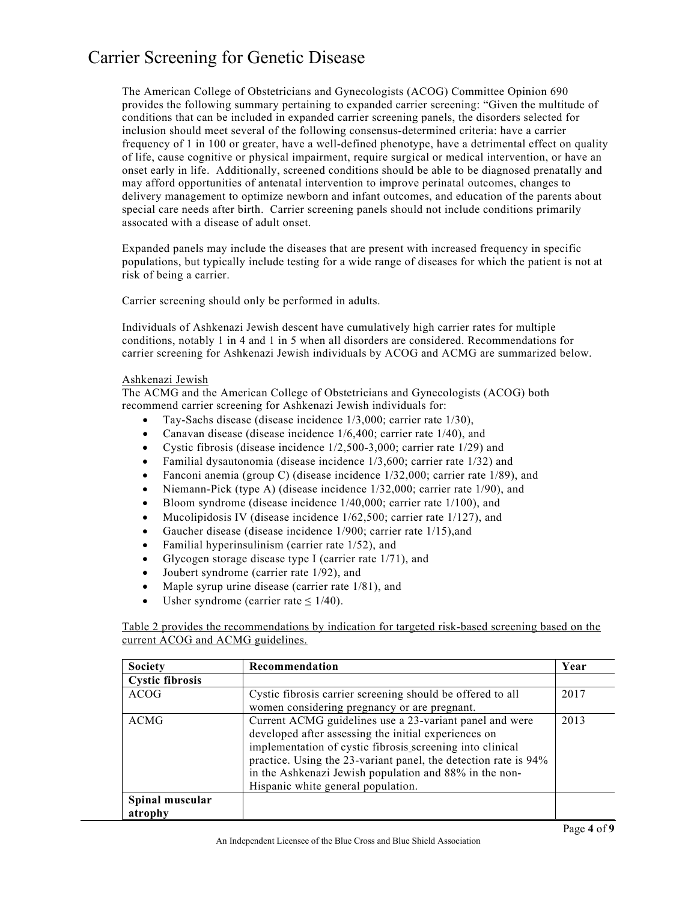The American College of Obstetricians and Gynecologists (ACOG) Committee Opinion 690 provides the following summary pertaining to expanded carrier screening: "Given the multitude of conditions that can be included in expanded carrier screening panels, the disorders selected for inclusion should meet several of the following consensus-determined criteria: have a carrier frequency of 1 in 100 or greater, have a well-defined phenotype, have a detrimental effect on quality of life, cause cognitive or physical impairment, require surgical or medical intervention, or have an onset early in life. Additionally, screened conditions should be able to be diagnosed prenatally and may afford opportunities of antenatal intervention to improve perinatal outcomes, changes to delivery management to optimize newborn and infant outcomes, and education of the parents about special care needs after birth. Carrier screening panels should not include conditions primarily assocated with a disease of adult onset.

Expanded panels may include the diseases that are present with increased frequency in specific populations, but typically include testing for a wide range of diseases for which the patient is not at risk of being a carrier.

Carrier screening should only be performed in adults.

Individuals of Ashkenazi Jewish descent have cumulatively high carrier rates for multiple conditions, notably 1 in 4 and 1 in 5 when all disorders are considered. Recommendations for carrier screening for Ashkenazi Jewish individuals by ACOG and ACMG are summarized below.

#### Ashkenazi Jewish

The ACMG and the American College of Obstetricians and Gynecologists (ACOG) both recommend carrier screening for Ashkenazi Jewish individuals for:

- Tay-Sachs disease (disease incidence 1/3,000; carrier rate 1/30),
- Canavan disease (disease incidence 1/6,400; carrier rate 1/40), and
- Cystic fibrosis (disease incidence 1/2,500-3,000; carrier rate 1/29) and
- Familial dysautonomia (disease incidence  $1/3,600$ ; carrier rate  $1/32$ ) and
- Fanconi anemia (group C) (disease incidence  $1/32,000$ ; carrier rate  $1/89$ ), and
- Niemann-Pick (type A) (disease incidence 1/32,000; carrier rate 1/90), and
- Bloom syndrome (disease incidence 1/40,000; carrier rate 1/100), and
- Mucolipidosis IV (disease incidence 1/62,500; carrier rate 1/127), and
- Gaucher disease (disease incidence 1/900; carrier rate 1/15),and
- Familial hyperinsulinism (carrier rate 1/52), and
- Glycogen storage disease type I (carrier rate 1/71), and
- Joubert syndrome (carrier rate 1/92), and
- Maple syrup urine disease (carrier rate  $1/81$ ), and
- Usher syndrome (carrier rate  $\leq 1/40$ ).

Table 2 provides the recommendations by indication for targeted risk-based screening based on the current ACOG and ACMG guidelines.

| <b>Society</b>             | Recommendation                                                                                                                                                                                                                                                                                                                                  | Year |
|----------------------------|-------------------------------------------------------------------------------------------------------------------------------------------------------------------------------------------------------------------------------------------------------------------------------------------------------------------------------------------------|------|
| <b>Cystic fibrosis</b>     |                                                                                                                                                                                                                                                                                                                                                 |      |
| <b>ACOG</b>                | Cystic fibrosis carrier screening should be offered to all<br>women considering pregnancy or are pregnant.                                                                                                                                                                                                                                      | 2017 |
| ACMG                       | Current ACMG guidelines use a 23-variant panel and were<br>developed after assessing the initial experiences on<br>implementation of cystic fibrosis screening into clinical<br>practice. Using the 23-variant panel, the detection rate is 94%<br>in the Ashkenazi Jewish population and 88% in the non-<br>Hispanic white general population. | 2013 |
| Spinal muscular<br>atrophy |                                                                                                                                                                                                                                                                                                                                                 |      |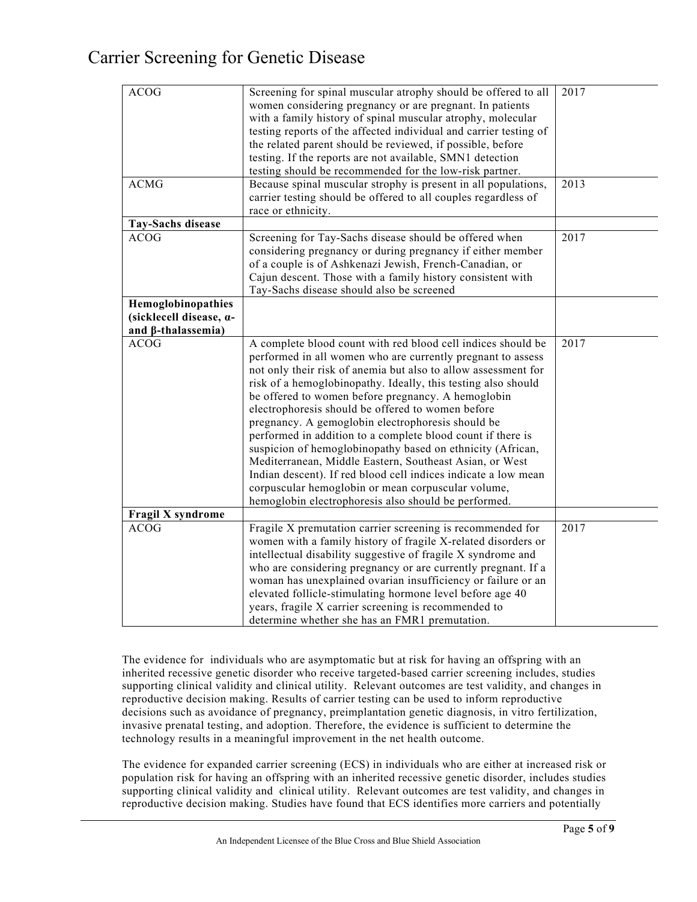| <b>ACOG</b>                                                  | Screening for spinal muscular atrophy should be offered to all<br>women considering pregnancy or are pregnant. In patients<br>with a family history of spinal muscular atrophy, molecular<br>testing reports of the affected individual and carrier testing of<br>the related parent should be reviewed, if possible, before<br>testing. If the reports are not available, SMN1 detection<br>testing should be recommended for the low-risk partner.                                                                                                                                                                                                                                                                                                                                                   | 2017 |
|--------------------------------------------------------------|--------------------------------------------------------------------------------------------------------------------------------------------------------------------------------------------------------------------------------------------------------------------------------------------------------------------------------------------------------------------------------------------------------------------------------------------------------------------------------------------------------------------------------------------------------------------------------------------------------------------------------------------------------------------------------------------------------------------------------------------------------------------------------------------------------|------|
| <b>ACMG</b>                                                  | Because spinal muscular strophy is present in all populations,<br>carrier testing should be offered to all couples regardless of<br>race or ethnicity.                                                                                                                                                                                                                                                                                                                                                                                                                                                                                                                                                                                                                                                 | 2013 |
| <b>Tay-Sachs disease</b>                                     |                                                                                                                                                                                                                                                                                                                                                                                                                                                                                                                                                                                                                                                                                                                                                                                                        |      |
| <b>ACOG</b>                                                  | Screening for Tay-Sachs disease should be offered when<br>considering pregnancy or during pregnancy if either member<br>of a couple is of Ashkenazi Jewish, French-Canadian, or<br>Cajun descent. Those with a family history consistent with<br>Tay-Sachs disease should also be screened                                                                                                                                                                                                                                                                                                                                                                                                                                                                                                             | 2017 |
| Hemoglobinopathies                                           |                                                                                                                                                                                                                                                                                                                                                                                                                                                                                                                                                                                                                                                                                                                                                                                                        |      |
| (sicklecell disease, $\alpha$ -<br>and $\beta$ -thalassemia) |                                                                                                                                                                                                                                                                                                                                                                                                                                                                                                                                                                                                                                                                                                                                                                                                        |      |
| <b>ACOG</b>                                                  | A complete blood count with red blood cell indices should be<br>performed in all women who are currently pregnant to assess<br>not only their risk of anemia but also to allow assessment for<br>risk of a hemoglobinopathy. Ideally, this testing also should<br>be offered to women before pregnancy. A hemoglobin<br>electrophoresis should be offered to women before<br>pregnancy. A gemoglobin electrophoresis should be<br>performed in addition to a complete blood count if there is<br>suspicion of hemoglobinopathy based on ethnicity (African,<br>Mediterranean, Middle Eastern, Southeast Asian, or West<br>Indian descent). If red blood cell indices indicate a low mean<br>corpuscular hemoglobin or mean corpuscular volume,<br>hemoglobin electrophoresis also should be performed. | 2017 |
| Fragil X syndrome                                            |                                                                                                                                                                                                                                                                                                                                                                                                                                                                                                                                                                                                                                                                                                                                                                                                        |      |
| <b>ACOG</b>                                                  | Fragile X premutation carrier screening is recommended for<br>women with a family history of fragile X-related disorders or<br>intellectual disability suggestive of fragile X syndrome and<br>who are considering pregnancy or are currently pregnant. If a<br>woman has unexplained ovarian insufficiency or failure or an<br>elevated follicle-stimulating hormone level before age 40<br>years, fragile X carrier screening is recommended to<br>determine whether she has an FMR1 premutation.                                                                                                                                                                                                                                                                                                    | 2017 |

The evidence for individuals who are asymptomatic but at risk for having an offspring with an inherited recessive genetic disorder who receive targeted-based carrier screening includes, studies supporting clinical validity and clinical utility. Relevant outcomes are test validity, and changes in reproductive decision making. Results of carrier testing can be used to inform reproductive decisions such as avoidance of pregnancy, preimplantation genetic diagnosis, in vitro fertilization, invasive prenatal testing, and adoption. Therefore, the evidence is sufficient to determine the technology results in a meaningful improvement in the net health outcome.

The evidence for expanded carrier screening (ECS) in individuals who are either at increased risk or population risk for having an offspring with an inherited recessive genetic disorder, includes studies supporting clinical validity and clinical utility. Relevant outcomes are test validity, and changes in reproductive decision making. Studies have found that ECS identifies more carriers and potentially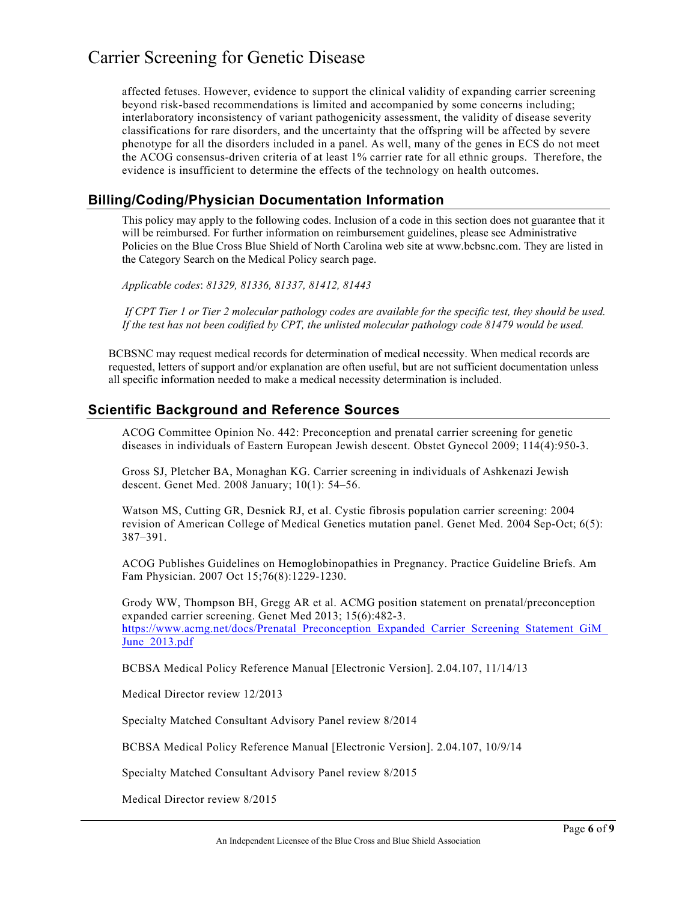affected fetuses. However, evidence to support the clinical validity of expanding carrier screening beyond risk-based recommendations is limited and accompanied by some concerns including; interlaboratory inconsistency of variant pathogenicity assessment, the validity of disease severity classifications for rare disorders, and the uncertainty that the offspring will be affected by severe phenotype for all the disorders included in a panel. As well, many of the genes in ECS do not meet the ACOG consensus-driven criteria of at least 1% carrier rate for all ethnic groups. Therefore, the evidence is insufficient to determine the effects of the technology on health outcomes.

### **Billing/Coding/Physician Documentation Information**

This policy may apply to the following codes. Inclusion of a code in this section does not guarantee that it will be reimbursed. For further information on reimbursement guidelines, please see Administrative Policies on the Blue Cross Blue Shield of North Carolina web site at www.bcbsnc.com. They are listed in the Category Search on the Medical Policy search page.

*Applicable codes*: *81329, 81336, 81337, 81412, 81443*

*If CPT Tier 1 or Tier 2 molecular pathology codes are available for the specific test, they should be used. If the test has not been codified by CPT, the unlisted molecular pathology code 81479 would be used.*

BCBSNC may request medical records for determination of medical necessity. When medical records are requested, letters of support and/or explanation are often useful, but are not sufficient documentation unless all specific information needed to make a medical necessity determination is included.

### **Scientific Background and Reference Sources**

ACOG Committee Opinion No. 442: Preconception and prenatal carrier screening for genetic diseases in individuals of Eastern European Jewish descent. Obstet Gynecol 2009; 114(4):950-3.

Gross SJ, Pletcher BA, Monaghan KG. Carrier screening in individuals of Ashkenazi Jewish descent. Genet Med. 2008 January; 10(1): 54–56.

Watson MS, Cutting GR, Desnick RJ, et al. Cystic fibrosis population carrier screening: 2004 revision of American College of Medical Genetics mutation panel. Genet Med. 2004 Sep-Oct; 6(5): 387–391.

ACOG Publishes Guidelines on Hemoglobinopathies in Pregnancy. Practice Guideline Briefs. Am Fam Physician. 2007 Oct 15;76(8):1229-1230.

Grody WW, Thompson BH, Gregg AR et al. ACMG position statement on prenatal/preconception expanded carrier screening. Genet Med 2013; 15(6):482-3. https://www.acmg.net/docs/Prenatal\_Preconception\_Expanded\_Carrier\_Screening\_Statement\_GiM [June\\_2013.pdf](https://www.acmg.net/docs/Prenatal_Preconception_Expanded_Carrier_Screening_Statement_GiM_June_2013.pdf)

BCBSA Medical Policy Reference Manual [Electronic Version]. 2.04.107, 11/14/13

Medical Director review 12/2013

Specialty Matched Consultant Advisory Panel review 8/2014

BCBSA Medical Policy Reference Manual [Electronic Version]. 2.04.107, 10/9/14

Specialty Matched Consultant Advisory Panel review 8/2015

Medical Director review 8/2015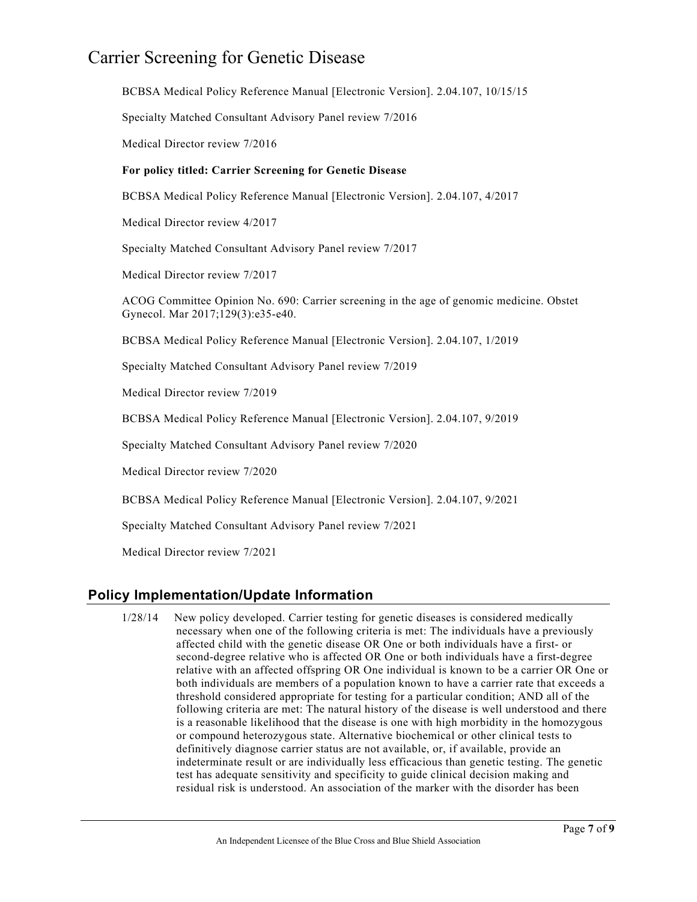BCBSA Medical Policy Reference Manual [Electronic Version]. 2.04.107, 10/15/15

Specialty Matched Consultant Advisory Panel review 7/2016

Medical Director review 7/2016

#### **For policy titled: Carrier Screening for Genetic Disease**

BCBSA Medical Policy Reference Manual [Electronic Version]. 2.04.107, 4/2017

Medical Director review 4/2017

Specialty Matched Consultant Advisory Panel review 7/2017

Medical Director review 7/2017

ACOG Committee Opinion No. 690: Carrier screening in the age of genomic medicine. Obstet Gynecol. Mar 2017;129(3):e35-e40.

BCBSA Medical Policy Reference Manual [Electronic Version]. 2.04.107, 1/2019

Specialty Matched Consultant Advisory Panel review 7/2019

Medical Director review 7/2019

BCBSA Medical Policy Reference Manual [Electronic Version]. 2.04.107, 9/2019

Specialty Matched Consultant Advisory Panel review 7/2020

Medical Director review 7/2020

BCBSA Medical Policy Reference Manual [Electronic Version]. 2.04.107, 9/2021

Specialty Matched Consultant Advisory Panel review 7/2021

Medical Director review 7/2021

### **Policy Implementation/Update Information**

1/28/14 New policy developed. Carrier testing for genetic diseases is considered medically necessary when one of the following criteria is met: The individuals have a previously affected child with the genetic disease OR One or both individuals have a first- or second-degree relative who is affected OR One or both individuals have a first-degree relative with an affected offspring OR One individual is known to be a carrier OR One or both individuals are members of a population known to have a carrier rate that exceeds a threshold considered appropriate for testing for a particular condition; AND all of the following criteria are met: The natural history of the disease is well understood and there is a reasonable likelihood that the disease is one with high morbidity in the homozygous or compound heterozygous state. Alternative biochemical or other clinical tests to definitively diagnose carrier status are not available, or, if available, provide an indeterminate result or are individually less efficacious than genetic testing. The genetic test has adequate sensitivity and specificity to guide clinical decision making and residual risk is understood. An association of the marker with the disorder has been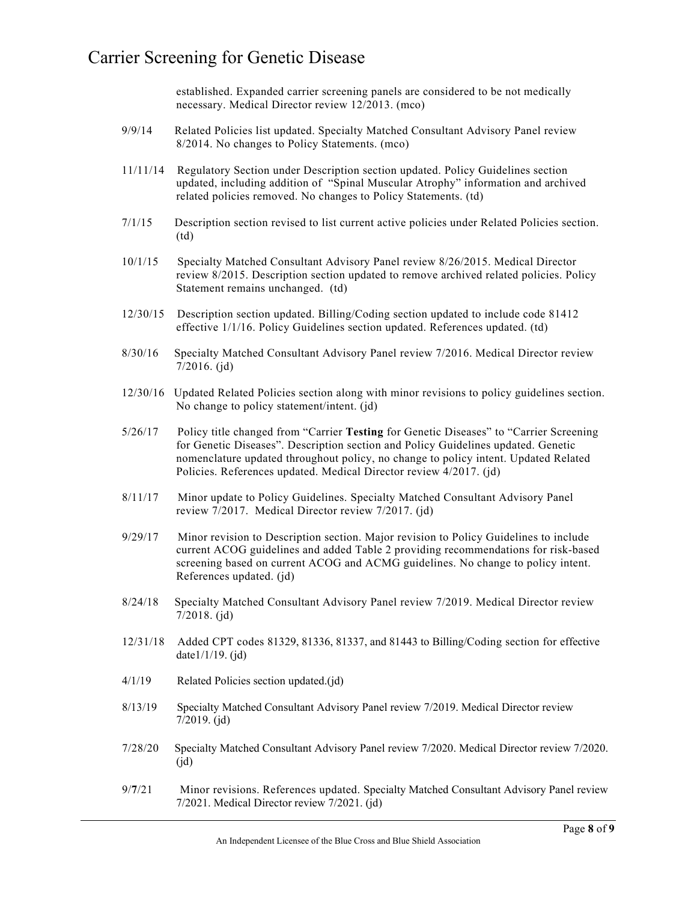established. Expanded carrier screening panels are considered to be not medically necessary. Medical Director review 12/2013. (mco)

- 9/9/14 Related Policies list updated. Specialty Matched Consultant Advisory Panel review 8/2014. No changes to Policy Statements. (mco)
- 11/11/14 Regulatory Section under Description section updated. Policy Guidelines section updated, including addition of "Spinal Muscular Atrophy" information and archived related policies removed. No changes to Policy Statements. (td)
- 7/1/15 Description section revised to list current active policies under Related Policies section. (td)
- 10/1/15 Specialty Matched Consultant Advisory Panel review 8/26/2015. Medical Director review 8/2015. Description section updated to remove archived related policies. Policy Statement remains unchanged. (td)
- 12/30/15 Description section updated. Billing/Coding section updated to include code 81412 effective 1/1/16. Policy Guidelines section updated. References updated. (td)
- 8/30/16 Specialty Matched Consultant Advisory Panel review 7/2016. Medical Director review 7/2016. (jd)
- 12/30/16 Updated Related Policies section along with minor revisions to policy guidelines section. No change to policy statement/intent. (jd)
- 5/26/17 Policy title changed from "Carrier **Testing** for Genetic Diseases" to "Carrier Screening for Genetic Diseases". Description section and Policy Guidelines updated. Genetic nomenclature updated throughout policy, no change to policy intent. Updated Related Policies. References updated. Medical Director review 4/2017. (jd)
- 8/11/17 Minor update to Policy Guidelines. Specialty Matched Consultant Advisory Panel review 7/2017. Medical Director review 7/2017. (jd)
- 9/29/17 Minor revision to Description section. Major revision to Policy Guidelines to include current ACOG guidelines and added Table 2 providing recommendations for risk-based screening based on current ACOG and ACMG guidelines. No change to policy intent. References updated. (jd)
- 8/24/18 Specialty Matched Consultant Advisory Panel review 7/2019. Medical Director review 7/2018. (jd)
- 12/31/18 Added CPT codes 81329, 81336, 81337, and 81443 to Billing/Coding section for effective date1/1/19. (jd)
- 4/1/19 Related Policies section updated.(jd)
- 8/13/19 Specialty Matched Consultant Advisory Panel review 7/2019. Medical Director review 7/2019. (jd)
- 7/28/20 Specialty Matched Consultant Advisory Panel review 7/2020. Medical Director review 7/2020.  $(id)$
- 9/**7**/21 Minor revisions. References updated. Specialty Matched Consultant Advisory Panel review 7/2021. Medical Director review 7/2021. (jd)